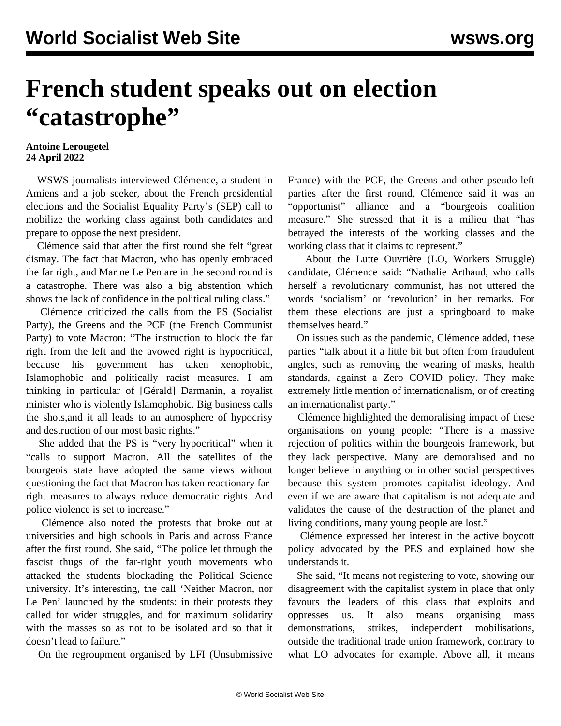## **French student speaks out on election "catastrophe"**

## **Antoine Lerougetel 24 April 2022**

 WSWS journalists interviewed Clémence, a student in Amiens and a job seeker, about the French presidential elections and the Socialist Equality Party's (SEP) call to mobilize the working class against both candidates and prepare to oppose the next president.

 Clémence said that after the first round she felt "great dismay. The fact that Macron, who has openly embraced the far right, and Marine Le Pen are in the second round is a catastrophe. There was also a big abstention which shows the lack of confidence in the political ruling class."

 Clémence criticized the calls from the PS (Socialist Party), the Greens and the PCF (the French Communist Party) to vote Macron: "The instruction to block the far right from the left and the avowed right is hypocritical, because his government has taken xenophobic, Islamophobic and politically racist measures. I am thinking in particular of [Gérald] Darmanin, a royalist minister who is violently Islamophobic. Big business calls the shots,and it all leads to an atmosphere of hypocrisy and destruction of our most basic rights."

 She added that the PS is "very hypocritical" when it "calls to support Macron. All the satellites of the bourgeois state have adopted the same views without questioning the fact that Macron has taken reactionary farright measures to always reduce democratic rights. And police violence is set to increase."

 Clémence also noted the protests that broke out at universities and high schools in Paris and across France after the first round. She said, "The police let through the fascist thugs of the far-right youth movements who attacked the students blockading the Political Science university. It's interesting, the call 'Neither Macron, nor Le Pen' launched by the students: in their protests they called for wider struggles, and for maximum solidarity with the masses so as not to be isolated and so that it doesn't lead to failure."

On the regroupment organised by LFI (Unsubmissive

France) with the PCF, the Greens and other pseudo-left parties after the first round, Clémence said it was an "opportunist" alliance and a "bourgeois coalition measure." She stressed that it is a milieu that "has betrayed the interests of the working classes and the working class that it claims to represent."

 About the Lutte Ouvrière (LO, Workers Struggle) candidate, Clémence said: "Nathalie Arthaud, who calls herself a revolutionary communist, has not uttered the words 'socialism' or 'revolution' in her remarks. For them these elections are just a springboard to make themselves heard."

 On issues such as the pandemic, Clémence added, these parties "talk about it a little bit but often from fraudulent angles, such as removing the wearing of masks, health standards, against a Zero COVID policy. They make extremely little mention of internationalism, or of creating an internationalist party."

 Clémence highlighted the demoralising impact of these organisations on young people: "There is a massive rejection of politics within the bourgeois framework, but they lack perspective. Many are demoralised and no longer believe in anything or in other social perspectives because this system promotes capitalist ideology. And even if we are aware that capitalism is not adequate and validates the cause of the destruction of the planet and living conditions, many young people are lost."

 Clémence expressed her interest in the active boycott policy advocated by the PES and explained how she understands it.

 She said, "It means not registering to vote, showing our disagreement with the capitalist system in place that only favours the leaders of this class that exploits and oppresses us. It also means organising mass demonstrations, strikes, independent mobilisations, outside the traditional trade union framework, contrary to what LO advocates for example. Above all, it means